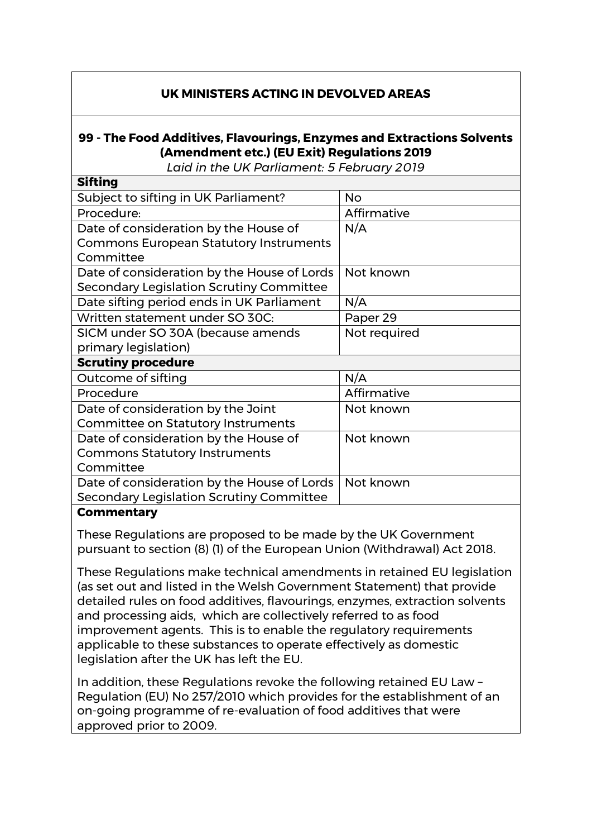## **UK MINISTERS ACTING IN DEVOLVED AREAS**

## **99 - The Food Additives, Flavourings, Enzymes and Extractions Solvents (Amendment etc.) (EU Exit) Regulations 2019**

*Laid in the UK Parliament: 5 February 2019*

| <b>Sifting</b>                                |              |
|-----------------------------------------------|--------------|
| Subject to sifting in UK Parliament?          | <b>No</b>    |
| Procedure:                                    | Affirmative  |
| Date of consideration by the House of         | N/A          |
| <b>Commons European Statutory Instruments</b> |              |
| Committee                                     |              |
| Date of consideration by the House of Lords   | Not known    |
| Secondary Legislation Scrutiny Committee      |              |
| Date sifting period ends in UK Parliament     | N/A          |
| Written statement under SO 30C:               | Paper 29     |
| SICM under SO 30A (because amends             | Not required |
| primary legislation)                          |              |
| <b>Scrutiny procedure</b>                     |              |
| Outcome of sifting                            | N/A          |
| Procedure                                     | Affirmative  |
| Date of consideration by the Joint            | Not known    |
| <b>Committee on Statutory Instruments</b>     |              |
| Date of consideration by the House of         | Not known    |
| <b>Commons Statutory Instruments</b>          |              |
| Committee                                     |              |
| Date of consideration by the House of Lords   | Not known    |
| Secondary Legislation Scrutiny Committee      |              |
|                                               |              |

## **Commentary**

These Regulations are proposed to be made by the UK Government pursuant to section (8) (1) of the European Union (Withdrawal) Act 2018.

These Regulations make technical amendments in retained EU legislation (as set out and listed in the Welsh Government Statement) that provide detailed rules on food additives, flavourings, enzymes, extraction solvents and processing aids, which are collectively referred to as food improvement agents. This is to enable the regulatory requirements applicable to these substances to operate effectively as domestic legislation after the UK has left the EU.

In addition, these Regulations revoke the following retained EU Law – Regulation (EU) No 257/2010 which provides for the establishment of an on-going programme of re-evaluation of food additives that were approved prior to 2009.